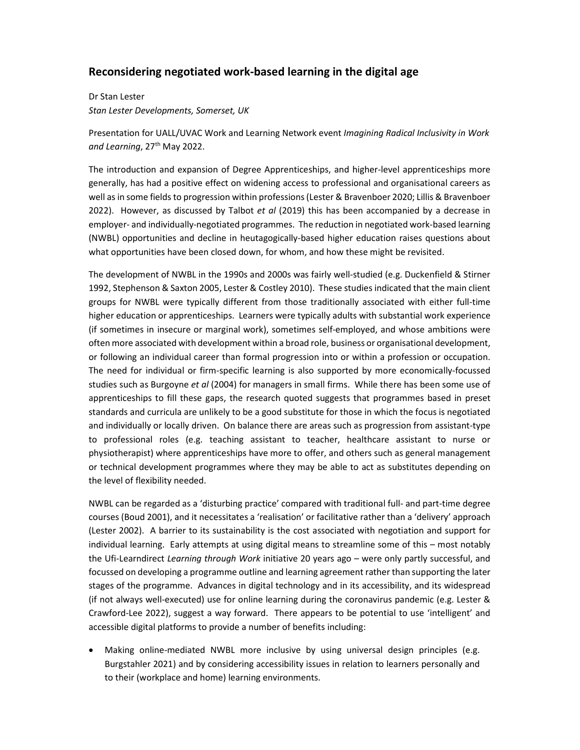## **Reconsidering negotiated work-based learning in the digital age**

Dr Stan Lester *Stan Lester Developments, Somerset, UK* 

Presentation for UALL/UVAC Work and Learning Network event *Imagining Radical Inclusivity in Work and Learning*, 27th May 2022.

The introduction and expansion of Degree Apprenticeships, and higher-level apprenticeships more generally, has had a positive effect on widening access to professional and organisational careers as well as in some fields to progression within professions (Lester & Bravenboer 2020; Lillis & Bravenboer 2022). However, as discussed by Talbot *et al* (2019) this has been accompanied by a decrease in employer- and individually-negotiated programmes. The reduction in negotiated work-based learning (NWBL) opportunities and decline in heutagogically-based higher education raises questions about what opportunities have been closed down, for whom, and how these might be revisited.

The development of NWBL in the 1990s and 2000s was fairly well-studied (e.g. Duckenfield & Stirner 1992, Stephenson & Saxton 2005, Lester & Costley 2010). These studies indicated that the main client groups for NWBL were typically different from those traditionally associated with either full-time higher education or apprenticeships. Learners were typically adults with substantial work experience (if sometimes in insecure or marginal work), sometimes self-employed, and whose ambitions were often more associated with development within a broad role, business or organisational development, or following an individual career than formal progression into or within a profession or occupation. The need for individual or firm-specific learning is also supported by more economically-focussed studies such as Burgoyne *et al* (2004) for managers in small firms. While there has been some use of apprenticeships to fill these gaps, the research quoted suggests that programmes based in preset standards and curricula are unlikely to be a good substitute for those in which the focus is negotiated and individually or locally driven. On balance there are areas such as progression from assistant-type to professional roles (e.g. teaching assistant to teacher, healthcare assistant to nurse or physiotherapist) where apprenticeships have more to offer, and others such as general management or technical development programmes where they may be able to act as substitutes depending on the level of flexibility needed.

NWBL can be regarded as a 'disturbing practice' compared with traditional full- and part-time degree courses (Boud 2001), and it necessitates a 'realisation' or facilitative rather than a 'delivery' approach (Lester 2002). A barrier to its sustainability is the cost associated with negotiation and support for individual learning. Early attempts at using digital means to streamline some of this – most notably the Ufi-Learndirect *Learning through Work* initiative 20 years ago – were only partly successful, and focussed on developing a programme outline and learning agreement rather than supporting the later stages of the programme. Advances in digital technology and in its accessibility, and its widespread (if not always well-executed) use for online learning during the coronavirus pandemic (e.g. Lester & Crawford-Lee 2022), suggest a way forward. There appears to be potential to use 'intelligent' and accessible digital platforms to provide a number of benefits including:

 Making online-mediated NWBL more inclusive by using universal design principles (e.g. Burgstahler 2021) and by considering accessibility issues in relation to learners personally and to their (workplace and home) learning environments.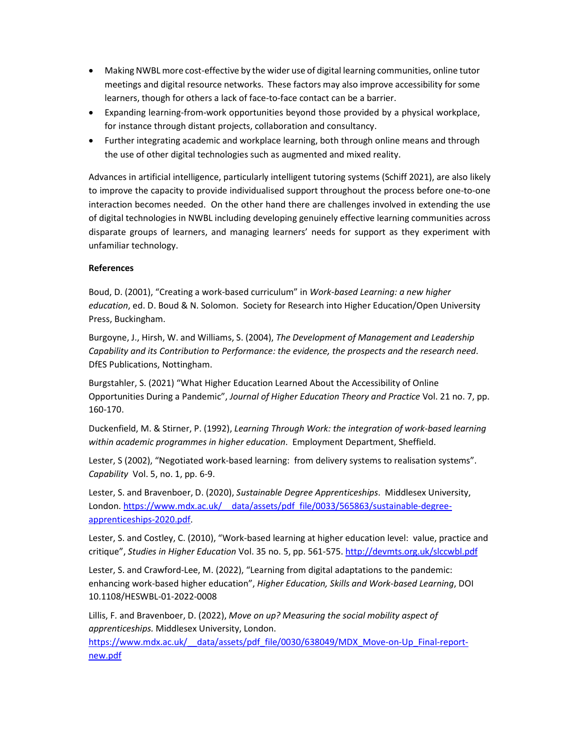- Making NWBL more cost-effective by the wider use of digital learning communities, online tutor meetings and digital resource networks. These factors may also improve accessibility for some learners, though for others a lack of face-to-face contact can be a barrier.
- Expanding learning-from-work opportunities beyond those provided by a physical workplace, for instance through distant projects, collaboration and consultancy.
- Further integrating academic and workplace learning, both through online means and through the use of other digital technologies such as augmented and mixed reality.

Advances in artificial intelligence, particularly intelligent tutoring systems (Schiff 2021), are also likely to improve the capacity to provide individualised support throughout the process before one-to-one interaction becomes needed. On the other hand there are challenges involved in extending the use of digital technologies in NWBL including developing genuinely effective learning communities across disparate groups of learners, and managing learners' needs for support as they experiment with unfamiliar technology.

## **References**

Boud, D. (2001), "Creating a work-based curriculum" in *Work-based Learning: a new higher education*, ed. D. Boud & N. Solomon. Society for Research into Higher Education/Open University Press, Buckingham.

Burgoyne, J., Hirsh, W. and Williams, S. (2004), *The Development of Management and Leadership Capability and its Contribution to Performance: the evidence, the prospects and the research need*. DfES Publications, Nottingham.

Burgstahler, S. (2021) "What Higher Education Learned About the Accessibility of Online Opportunities During a Pandemic", *Journal of Higher Education Theory and Practice* Vol. 21 no. 7, pp. 160-170.

Duckenfield, M. & Stirner, P. (1992), *Learning Through Work: the integration of work-based learning within academic programmes in higher education*. Employment Department, Sheffield.

Lester, S (2002), "Negotiated work-based learning: from delivery systems to realisation systems". *Capability* Vol. 5, no. 1, pp. 6-9.

Lester, S. and Bravenboer, D. (2020), *Sustainable Degree Apprenticeships*. Middlesex University, London. https://www.mdx.ac.uk/ data/assets/pdf file/0033/565863/sustainable-degreeapprenticeships-2020.pdf.

Lester, S. and Costley, C. (2010), "Work-based learning at higher education level: value, practice and critique", *Studies in Higher Education* Vol. 35 no. 5, pp. 561-575. http://devmts.org.uk/slccwbl.pdf

Lester, S. and Crawford-Lee, M. (2022), "Learning from digital adaptations to the pandemic: enhancing work-based higher education", *Higher Education, Skills and Work-based Learning*, DOI 10.1108/HESWBL-01-2022-0008

Lillis, F. and Bravenboer, D. (2022), *Move on up? Measuring the social mobility aspect of apprenticeships.* Middlesex University, London.

https://www.mdx.ac.uk/\_\_data/assets/pdf\_file/0030/638049/MDX\_Move-on-Up\_Final-reportnew.pdf